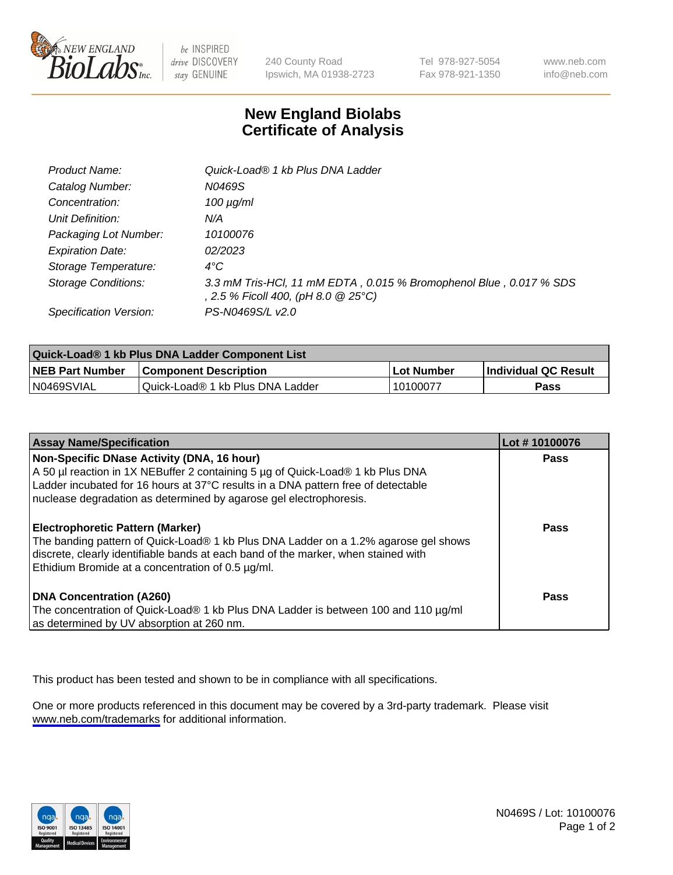

be INSPIRED drive DISCOVERY stay GENUINE

240 County Road Ipswich, MA 01938-2723 Tel 978-927-5054 Fax 978-921-1350

www.neb.com info@neb.com

## **New England Biolabs Certificate of Analysis**

| Product Name:              | Quick-Load® 1 kb Plus DNA Ladder                                                                          |
|----------------------------|-----------------------------------------------------------------------------------------------------------|
| Catalog Number:            | N0469S                                                                                                    |
| Concentration:             | $100 \mu g/ml$                                                                                            |
| Unit Definition:           | N/A                                                                                                       |
| Packaging Lot Number:      | 10100076                                                                                                  |
| <b>Expiration Date:</b>    | 02/2023                                                                                                   |
| Storage Temperature:       | $4^{\circ}$ C                                                                                             |
| <b>Storage Conditions:</b> | 3.3 mM Tris-HCl, 11 mM EDTA, 0.015 % Bromophenol Blue, 0.017 % SDS<br>, 2.5 % Ficoll 400, (pH 8.0 @ 25°C) |
| Specification Version:     | PS-N0469S/L v2.0                                                                                          |

| Quick-Load® 1 kb Plus DNA Ladder Component List |                                  |            |                             |  |
|-------------------------------------------------|----------------------------------|------------|-----------------------------|--|
| <b>NEB Part Number</b>                          | <b>Component Description</b>     | Lot Number | <b>Individual QC Result</b> |  |
| N0469SVIAL                                      | Quick-Load® 1 kb Plus DNA Ladder | 10100077   | Pass                        |  |

| <b>Assay Name/Specification</b>                                                                                                                                                                                                                                                         | Lot #10100076 |
|-----------------------------------------------------------------------------------------------------------------------------------------------------------------------------------------------------------------------------------------------------------------------------------------|---------------|
| Non-Specific DNase Activity (DNA, 16 hour)<br>A 50 µl reaction in 1X NEBuffer 2 containing 5 µg of Quick-Load® 1 kb Plus DNA<br>Ladder incubated for 16 hours at 37°C results in a DNA pattern free of detectable<br>nuclease degradation as determined by agarose gel electrophoresis. | <b>Pass</b>   |
| <b>Electrophoretic Pattern (Marker)</b><br>The banding pattern of Quick-Load® 1 kb Plus DNA Ladder on a 1.2% agarose gel shows<br>discrete, clearly identifiable bands at each band of the marker, when stained with<br>Ethidium Bromide at a concentration of 0.5 µg/ml.               | Pass          |
| <b>DNA Concentration (A260)</b><br>The concentration of Quick-Load® 1 kb Plus DNA Ladder is between 100 and 110 µg/ml<br>as determined by UV absorption at 260 nm.                                                                                                                      | Pass          |

This product has been tested and shown to be in compliance with all specifications.

One or more products referenced in this document may be covered by a 3rd-party trademark. Please visit <www.neb.com/trademarks>for additional information.